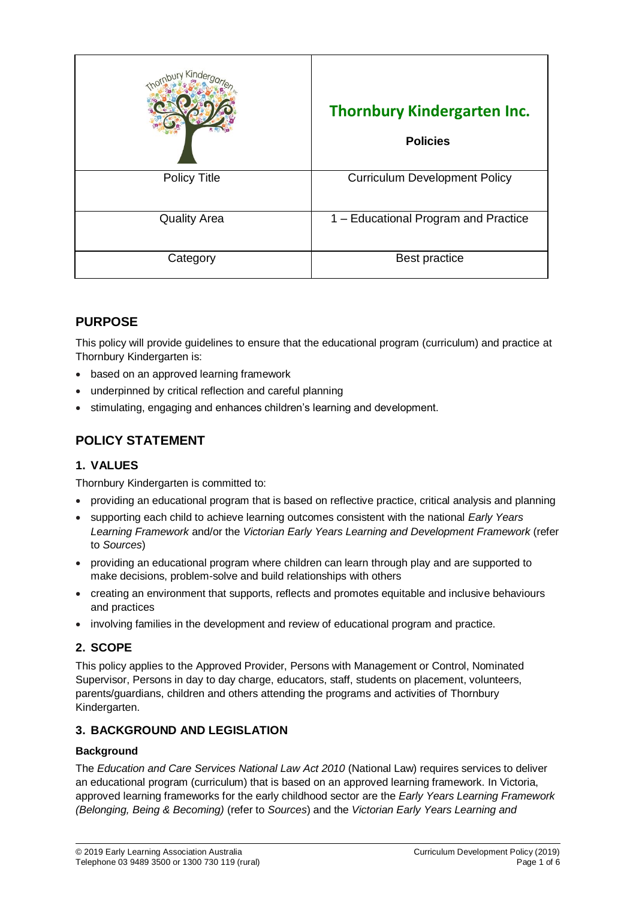|                     | <b>Thornbury Kindergarten Inc.</b><br><b>Policies</b> |
|---------------------|-------------------------------------------------------|
| <b>Policy Title</b> | <b>Curriculum Development Policy</b>                  |
| <b>Quality Area</b> | 1 – Educational Program and Practice                  |
| Category            | Best practice                                         |

# **PURPOSE**

This policy will provide guidelines to ensure that the educational program (curriculum) and practice at Thornbury Kindergarten is:

- based on an approved learning framework
- underpinned by critical reflection and careful planning
- stimulating, engaging and enhances children's learning and development.

# **POLICY STATEMENT**

### **1. VALUES**

Thornbury Kindergarten is committed to:

- providing an educational program that is based on reflective practice, critical analysis and planning
- supporting each child to achieve learning outcomes consistent with the national *Early Years Learning Framework* and/or the *Victorian Early Years Learning and Development Framework* (refer to *Sources*)
- providing an educational program where children can learn through play and are supported to make decisions, problem-solve and build relationships with others
- creating an environment that supports, reflects and promotes equitable and inclusive behaviours and practices
- involving families in the development and review of educational program and practice.

## **2. SCOPE**

This policy applies to the Approved Provider, Persons with Management or Control, Nominated Supervisor, Persons in day to day charge, educators, staff, students on placement, volunteers, parents/guardians, children and others attending the programs and activities of Thornbury Kindergarten.

### **3. BACKGROUND AND LEGISLATION**

### **Background**

The *Education and Care Services National Law Act 2010* (National Law) requires services to deliver an educational program (curriculum) that is based on an approved learning framework. In Victoria, approved learning frameworks for the early childhood sector are the *Early Years Learning Framework (Belonging, Being & Becoming)* (refer to *Sources*) and the *Victorian Early Years Learning and*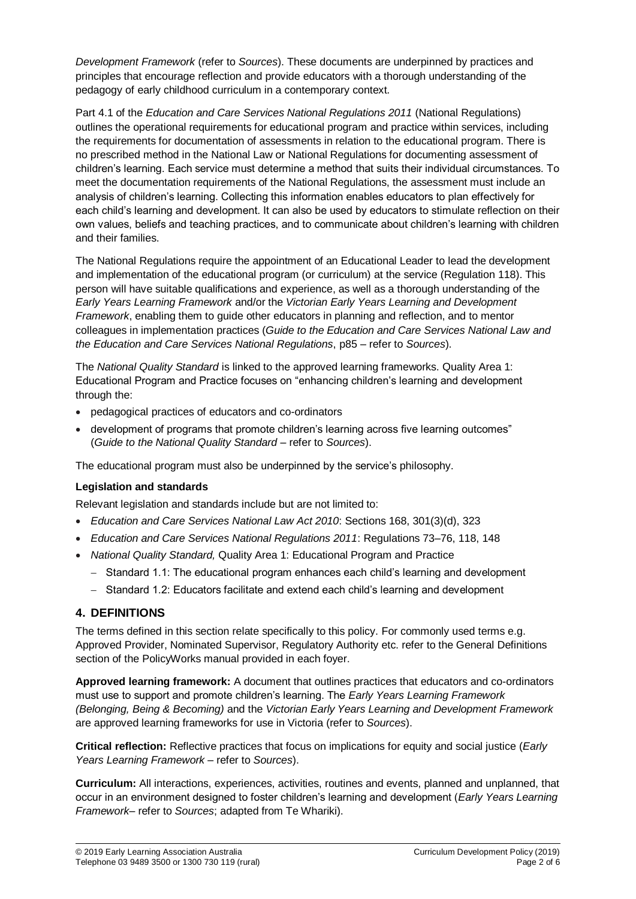*Development Framework* (refer to *Sources*). These documents are underpinned by practices and principles that encourage reflection and provide educators with a thorough understanding of the pedagogy of early childhood curriculum in a contemporary context.

Part 4.1 of the *Education and Care Services National Regulations 2011* (National Regulations) outlines the operational requirements for educational program and practice within services, including the requirements for documentation of assessments in relation to the educational program. There is no prescribed method in the National Law or National Regulations for documenting assessment of children's learning. Each service must determine a method that suits their individual circumstances. To meet the documentation requirements of the National Regulations, the assessment must include an analysis of children's learning. Collecting this information enables educators to plan effectively for each child's learning and development. It can also be used by educators to stimulate reflection on their own values, beliefs and teaching practices, and to communicate about children's learning with children and their families.

The National Regulations require the appointment of an Educational Leader to lead the development and implementation of the educational program (or curriculum) at the service (Regulation 118). This person will have suitable qualifications and experience, as well as a thorough understanding of the *Early Years Learning Framework* and/or the *Victorian Early Years Learning and Development Framework*, enabling them to guide other educators in planning and reflection, and to mentor colleagues in implementation practices (*Guide to the Education and Care Services National Law and the Education and Care Services National Regulations*, p85 – refer to *Sources*).

The *National Quality Standard* is linked to the approved learning frameworks. Quality Area 1: Educational Program and Practice focuses on "enhancing children's learning and development through the:

- pedagogical practices of educators and co-ordinators
- development of programs that promote children's learning across five learning outcomes" (*Guide to the National Quality Standard* – refer to *Sources*).

The educational program must also be underpinned by the service's philosophy.

### **Legislation and standards**

Relevant legislation and standards include but are not limited to:

- *Education and Care Services National Law Act 2010*: Sections 168, 301(3)(d), 323
- *Education and Care Services National Regulations 2011*: Regulations 73–76, 118, 148
- *National Quality Standard,* Quality Area 1: Educational Program and Practice
	- Standard 1.1: The educational program enhances each child's learning and development
	- Standard 1.2: Educators facilitate and extend each child's learning and development

### **4. DEFINITIONS**

The terms defined in this section relate specifically to this policy. For commonly used terms e.g. Approved Provider, Nominated Supervisor, Regulatory Authority etc. refer to the General Definitions section of the PolicyWorks manual provided in each foyer.

**Approved learning framework:** A document that outlines practices that educators and co-ordinators must use to support and promote children's learning. The *Early Years Learning Framework (Belonging, Being & Becoming)* and the *Victorian Early Years Learning and Development Framework* are approved learning frameworks for use in Victoria (refer to *Sources*).

**Critical reflection:** Reflective practices that focus on implications for equity and social justice (*Early Years Learning Framework* – refer to *Sources*).

**Curriculum:** All interactions, experiences, activities, routines and events, planned and unplanned, that occur in an environment designed to foster children's learning and development (*Early Years Learning Framework*– refer to *Sources*; adapted from Te Whariki).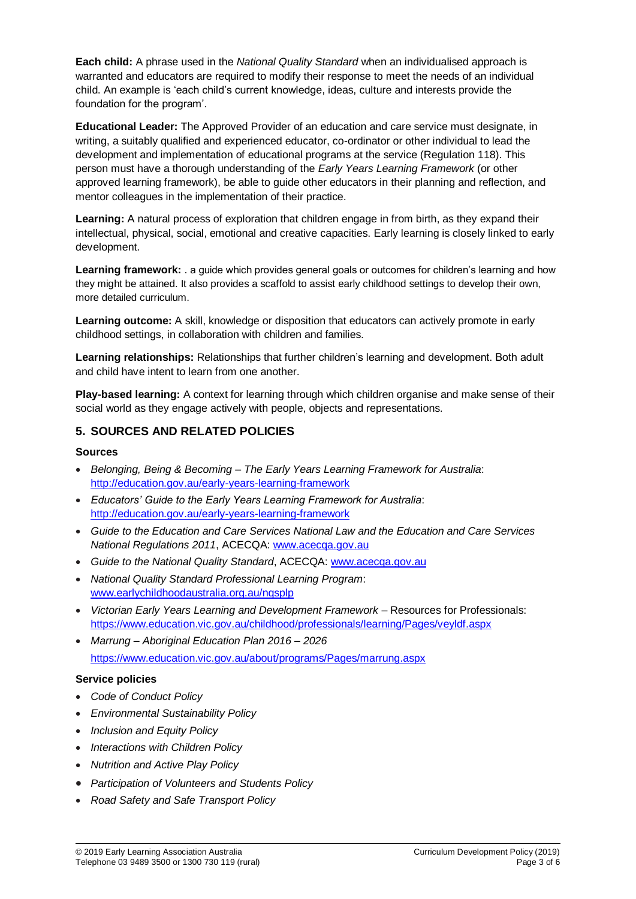**Each child:** A phrase used in the *National Quality Standard* when an individualised approach is warranted and educators are required to modify their response to meet the needs of an individual child. An example is 'each child's current knowledge, ideas, culture and interests provide the foundation for the program'.

**Educational Leader:** The Approved Provider of an education and care service must designate, in writing, a suitably qualified and experienced educator, co-ordinator or other individual to lead the development and implementation of educational programs at the service (Regulation 118). This person must have a thorough understanding of the *Early Years Learning Framework* (or other approved learning framework), be able to guide other educators in their planning and reflection, and mentor colleagues in the implementation of their practice.

**Learning:** A natural process of exploration that children engage in from birth, as they expand their intellectual, physical, social, emotional and creative capacities. Early learning is closely linked to early development.

**Learning framework:** . a guide which provides general goals or outcomes for children's learning and how they might be attained. It also provides a scaffold to assist early childhood settings to develop their own, more detailed curriculum.

**Learning outcome:** A skill, knowledge or disposition that educators can actively promote in early childhood settings, in collaboration with children and families.

**Learning relationships:** Relationships that further children's learning and development. Both adult and child have intent to learn from one another.

**Play-based learning:** A context for learning through which children organise and make sense of their social world as they engage actively with people, objects and representations.

### **5. SOURCES AND RELATED POLICIES**

#### **Sources**

- *Belonging, Being & Becoming – The Early Years Learning Framework for Australia*: <http://education.gov.au/early-years-learning-framework>
- *Educators' Guide to the Early Years Learning Framework for Australia*: <http://education.gov.au/early-years-learning-framework>
- *Guide to the Education and Care Services National Law and the Education and Care Services National Regulations 2011*, ACECQA: [www.acecqa.gov.au](http://www.acecqa.gov.au/)
- *Guide to the National Quality Standard*, ACECQA: [www.acecqa.gov.au](http://www.acecqa.gov.au/)
- *National Quality Standard Professional Learning Program*: [www.earlychildhoodaustralia.org.au/nqsplp](http://www.earlychildhoodaustralia.org.au/nqsplp)
- *Victorian Early Years Learning and Development Framework* Resources for Professionals: <https://www.education.vic.gov.au/childhood/professionals/learning/Pages/veyldf.aspx>
- *Marrung – Aboriginal Education Plan 2016 – 2026* <https://www.education.vic.gov.au/about/programs/Pages/marrung.aspx>

#### **Service policies**

- *Code of Conduct Policy*
- *Environmental Sustainability Policy*
- *Inclusion and Equity Policy*
- *Interactions with Children Policy*
- *Nutrition and Active Play Policy*
- *Participation of Volunteers and Students Policy*
- *Road Safety and Safe Transport Policy*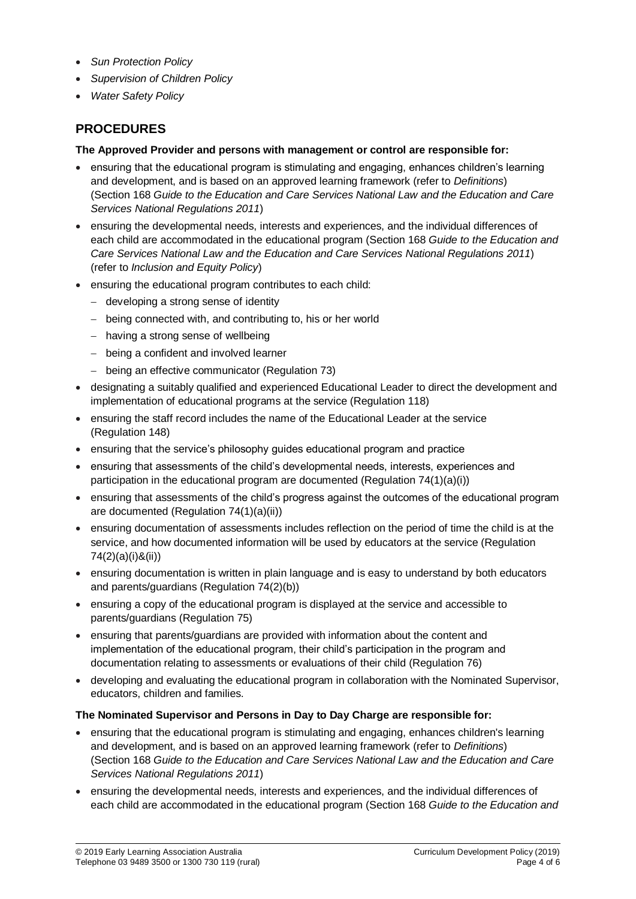- *Sun Protection Policy*
- *Supervision of Children Policy*
- *Water Safety Policy*

# **PROCEDURES**

#### **The Approved Provider and persons with management or control are responsible for:**

- ensuring that the educational program is stimulating and engaging, enhances children's learning and development, and is based on an approved learning framework (refer to *Definitions*) (Section 168 *Guide to the Education and Care Services National Law and the Education and Care Services National Regulations 2011*)
- ensuring the developmental needs, interests and experiences, and the individual differences of each child are accommodated in the educational program (Section 168 *Guide to the Education and Care Services National Law and the Education and Care Services National Regulations 2011*) (refer to *Inclusion and Equity Policy*)
- ensuring the educational program contributes to each child:
	- developing a strong sense of identity
	- being connected with, and contributing to, his or her world
	- having a strong sense of wellbeing
	- being a confident and involved learner
	- being an effective communicator (Regulation 73)
- designating a suitably qualified and experienced Educational Leader to direct the development and implementation of educational programs at the service (Regulation 118)
- ensuring the staff record includes the name of the Educational Leader at the service (Regulation 148)
- ensuring that the service's philosophy guides educational program and practice
- ensuring that assessments of the child's developmental needs, interests, experiences and participation in the educational program are documented (Regulation 74(1)(a)(i))
- ensuring that assessments of the child's progress against the outcomes of the educational program are documented (Regulation 74(1)(a)(ii))
- ensuring documentation of assessments includes reflection on the period of time the child is at the service, and how documented information will be used by educators at the service (Regulation 74(2)(a)(i)&(ii))
- ensuring documentation is written in plain language and is easy to understand by both educators and parents/guardians (Regulation 74(2)(b))
- ensuring a copy of the educational program is displayed at the service and accessible to parents/guardians (Regulation 75)
- ensuring that parents/guardians are provided with information about the content and implementation of the educational program, their child's participation in the program and documentation relating to assessments or evaluations of their child (Regulation 76)
- developing and evaluating the educational program in collaboration with the Nominated Supervisor, educators, children and families.

### **The Nominated Supervisor and Persons in Day to Day Charge are responsible for:**

- ensuring that the educational program is stimulating and engaging, enhances children's learning and development, and is based on an approved learning framework (refer to *Definitions*) (Section 168 *Guide to the Education and Care Services National Law and the Education and Care Services National Regulations 2011*)
- ensuring the developmental needs, interests and experiences, and the individual differences of each child are accommodated in the educational program (Section 168 *Guide to the Education and*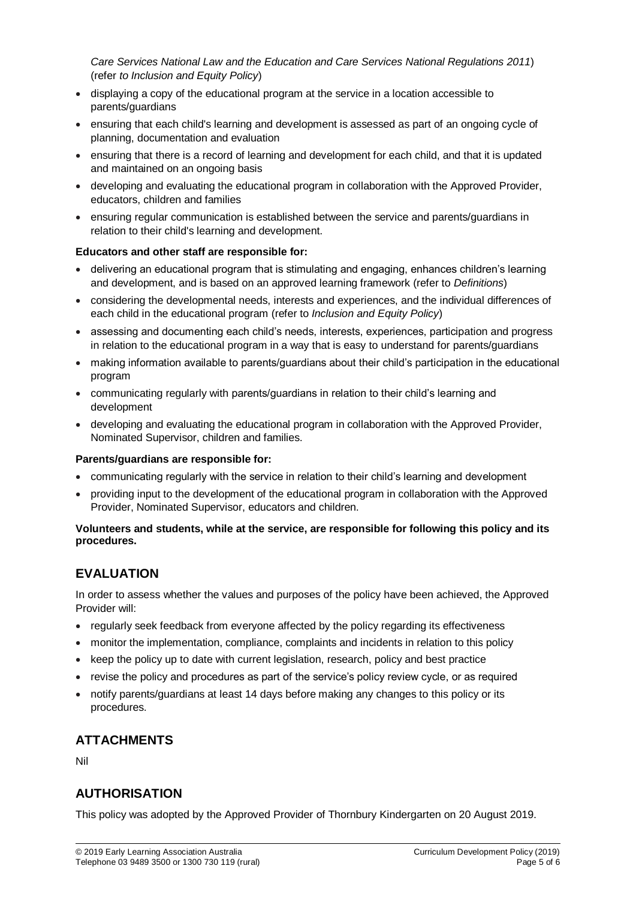*Care Services National Law and the Education and Care Services National Regulations 2011*) (refer *to Inclusion and Equity Policy*)

- displaying a copy of the educational program at the service in a location accessible to parents/guardians
- ensuring that each child's learning and development is assessed as part of an ongoing cycle of planning, documentation and evaluation
- ensuring that there is a record of learning and development for each child, and that it is updated and maintained on an ongoing basis
- developing and evaluating the educational program in collaboration with the Approved Provider, educators, children and families
- ensuring regular communication is established between the service and parents/guardians in relation to their child's learning and development.

#### **Educators and other staff are responsible for:**

- delivering an educational program that is stimulating and engaging, enhances children's learning and development, and is based on an approved learning framework (refer to *Definitions*)
- considering the developmental needs, interests and experiences, and the individual differences of each child in the educational program (refer to *Inclusion and Equity Policy*)
- assessing and documenting each child's needs, interests, experiences, participation and progress in relation to the educational program in a way that is easy to understand for parents/guardians
- making information available to parents/guardians about their child's participation in the educational program
- communicating regularly with parents/guardians in relation to their child's learning and development
- developing and evaluating the educational program in collaboration with the Approved Provider, Nominated Supervisor, children and families.

#### **Parents/guardians are responsible for:**

- communicating regularly with the service in relation to their child's learning and development
- providing input to the development of the educational program in collaboration with the Approved Provider, Nominated Supervisor, educators and children.

#### **Volunteers and students, while at the service, are responsible for following this policy and its procedures.**

## **EVALUATION**

In order to assess whether the values and purposes of the policy have been achieved, the Approved Provider will:

- regularly seek feedback from everyone affected by the policy regarding its effectiveness
- monitor the implementation, compliance, complaints and incidents in relation to this policy
- keep the policy up to date with current legislation, research, policy and best practice
- revise the policy and procedures as part of the service's policy review cycle, or as required
- notify parents/guardians at least 14 days before making any changes to this policy or its procedures.

## **ATTACHMENTS**

Nil

## **AUTHORISATION**

This policy was adopted by the Approved Provider of Thornbury Kindergarten on 20 August 2019.